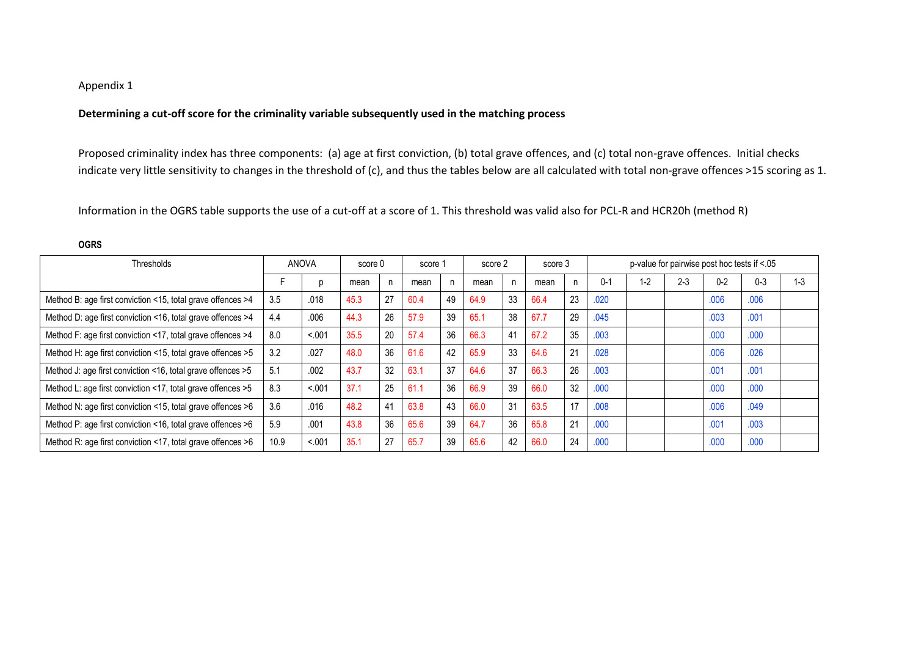## Appendix 1

**OGRS**

## **Determining a cut-off score for the criminality variable subsequently used in the matching process**

Proposed criminality index has three components: (a) age at first conviction, (b) total grave offences, and (c) total non-grave offences. Initial checks indicate very little sensitivity to changes in the threshold of (c), and thus the tables below are all calculated with total non-grave offences >15 scoring as 1.

Information in the OGRS table supports the use of a cut-off at a score of 1. This threshold was valid also for PCL-R and HCR20h (method R)

| Thresholds                                                  | <b>ANOVA</b> |         | score 0 |                | score 1 |    | score 2 |    | score 3 |    | p-value for pairwise post hoc tests if <.05 |      |         |         |         |         |  |
|-------------------------------------------------------------|--------------|---------|---------|----------------|---------|----|---------|----|---------|----|---------------------------------------------|------|---------|---------|---------|---------|--|
|                                                             |              |         | mean    |                | mean    | n  | mean    |    | mean    |    | $0 - 1$                                     | $-2$ | $2 - 3$ | $0 - 2$ | $0 - 3$ | $1 - 3$ |  |
| Method B: age first conviction <15, total grave offences >4 | 3.5          | .018    | 45.3    | 27             | 60.4    | 49 | 64.9    | 33 | 66.4    | 23 | .020                                        |      |         | .006    | .006    |         |  |
| Method D: age first conviction <16, total grave offences >4 | 4.4          | .006    | 44.3    | 26             | 57.9    | 39 | 65.1    | 38 | 67.7    | 29 | .045                                        |      |         | .003    | .001    |         |  |
| Method F: age first conviction <17, total grave offences >4 | 8.0          | < .001  | 35.5    | 20             | 57.4    | 36 | 66.3    | 41 | 67.2    | 35 | .003                                        |      |         | .000    | .000    |         |  |
| Method H: age first conviction <15, total grave offences >5 | 3.2          | .027    | 48.0    | 36             | 61.6    | 42 | 65.9    | 33 | 64.6    | 21 | .028                                        |      |         | .006    | .026    |         |  |
| Method J: age first conviction <16, total grave offences >5 | 5.1          | .002    | 43.7    | 32             | 63.1    | 37 | 64.6    | 37 | 66.3    | 26 | .003                                        |      |         | .001    | .001    |         |  |
| Method L: age first conviction <17, total grave offences >5 | 8.3          | < 0.001 | 37.1    | 25             | 61.1    | 36 | 66.9    | 39 | 66.0    | 32 | .000                                        |      |         | .000    | .000    |         |  |
| Method N: age first conviction <15, total grave offences >6 | 3.6          | .016    | 48.2    | 4 <sup>1</sup> | 63.8    | 43 | 66.0    | 31 | 63.5    | 17 | .008                                        |      |         | .006    | .049    |         |  |
| Method P: age first conviction <16, total grave offences >6 | 5.9          | .001    | 43.8    | 36             | 65.6    | 39 | 64.7    | 36 | 65.8    | 21 | .000                                        |      |         | .001    | .003    |         |  |
| Method R: age first conviction <17, total grave offences >6 | 10.9         | < .001  | 35.1    | 27             | 65.7    | 39 | 65.6    | 42 | 66.0    | 24 | .000                                        |      |         | .000    | .000    |         |  |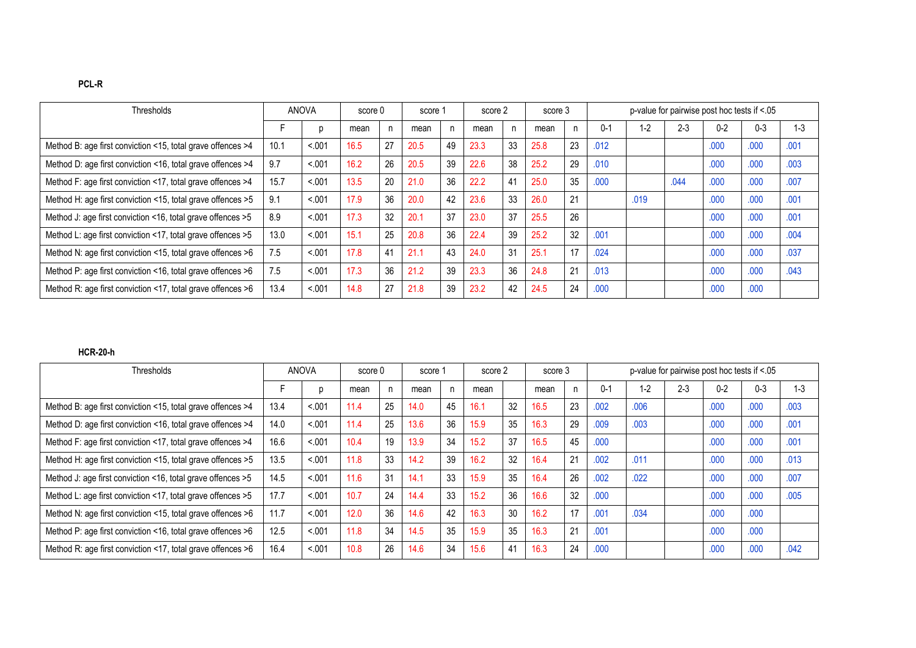| Thresholds                                                  | <b>ANOVA</b> |        | score 0 |    | score 1 |    | score 2 |    | score 3 |    | p-value for pairwise post hoc tests if <.05 |       |         |         |         |         |
|-------------------------------------------------------------|--------------|--------|---------|----|---------|----|---------|----|---------|----|---------------------------------------------|-------|---------|---------|---------|---------|
|                                                             |              |        | mean    |    | mean    |    | mean    |    | mean    |    | 0-1                                         | $1-2$ | $2 - 3$ | $0 - 2$ | $0 - 3$ | $1 - 3$ |
| Method B: age first conviction <15, total grave offences >4 | 10.1         | < 0.01 | 16.5    | 27 | 20.5    | 49 | 23.3    | 33 | 25.8    | 23 | .012                                        |       |         | .000    | .000    | .001    |
| Method D: age first conviction <16, total grave offences >4 | 9.7          | < 0.01 | 16.2    | 26 | 20.5    | 39 | 22.6    | 38 | 25.2    | 29 | .010                                        |       |         | .000    | .000    | .003    |
| Method F: age first conviction <17, total grave offences >4 | 15.7         | < 0.01 | 13.5    | 20 | 21.0    | 36 | 22.2    | 41 | 25.0    | 35 | .000                                        |       | .044    | .000    | .000    | .007    |
| Method H: age first conviction <15, total grave offences >5 | 9.1          | < 0.01 | 17.9    | 36 | 20.0    | 42 | 23.6    | 33 | 26.0    | 21 |                                             | .019  |         | .000    | .000    | .001    |
| Method J: age first conviction <16, total grave offences >5 | 8.9          | < 0.01 | 17.3    | 32 | 20.1    | 37 | 23.0    | 37 | 25.5    | 26 |                                             |       |         | .000    | .000    | .001    |
| Method L: age first conviction <17, total grave offences >5 | 13.0         | < .001 | 15.1    | 25 | 20.8    | 36 | 22.4    | 39 | 25.2    | 32 | .001                                        |       |         | .000    | .000    | .004    |
| Method N: age first conviction <15, total grave offences >6 | 7.5          | < .001 | 17.8    | 41 | 21.1    | 43 | 24.0    | 31 | 25.1    | 17 | .024                                        |       |         | .000    | .000    | .037    |
| Method P: age first conviction <16, total grave offences >6 | 7.5          | < 0.01 | 17.3    | 36 | 21.2    | 39 | 23.3    | 36 | 24.8    | 21 | .013                                        |       |         | .000    | .000    | .043    |
| Method R: age first conviction <17, total grave offences >6 | 13.4         | < 0.01 | 14.8    | 27 | 21.8    | 39 | 23.2    | 42 | 24.5    | 24 | .000                                        |       |         | .000    | .000    |         |

## **HCR-20-h**

| <b>Thresholds</b>                                           | ANOVA |        | score 0 |    | score 1 |    | score 2 |    | score 3 |    | p-value for pairwise post hoc tests if <.05 |         |         |         |         |      |  |
|-------------------------------------------------------------|-------|--------|---------|----|---------|----|---------|----|---------|----|---------------------------------------------|---------|---------|---------|---------|------|--|
|                                                             |       |        | mean    |    | mean    |    | mean    |    | mean    |    | $0 - 1$                                     | $1 - 2$ | $2 - 3$ | $0 - 2$ | $0 - 3$ | -3   |  |
| Method B: age first conviction <15, total grave offences >4 | 13.4  | < 0.01 | 11.4    | 25 | 14.0    | 45 | 16.1    | 32 | 16.5    | 23 | .002                                        | .006    |         | .000    | .000    | .003 |  |
| Method D: age first conviction <16, total grave offences >4 | 14.0  | < 0.01 | 11.4    | 25 | 13.6    | 36 | 15.9    | 35 | 16.3    | 29 | .009                                        | .003    |         | .000    | .000    | .001 |  |
| Method F: age first conviction <17, total grave offences >4 | 16.6  | < .001 | 10.4    | 19 | 13.9    | 34 | 15.2    | 37 | 16.5    | 45 | .000                                        |         |         | .000    | .000    | .001 |  |
| Method H: age first conviction <15, total grave offences >5 | 13.5  | < 0.01 | 11.8    | 33 | 14.2    | 39 | 16.2    | 32 | 16.4    | 21 | .002                                        | .011    |         | .000    | .000    | .013 |  |
| Method J: age first conviction <16, total grave offences >5 | 14.5  | < .001 | 11.6    | 31 | 14.1    | 33 | 15.9    | 35 | 16.4    | 26 | .002                                        | .022    |         | .000    | .000    | .007 |  |
| Method L: age first conviction <17, total grave offences >5 | 17.7  | < 0.01 | 10.7    | 24 | 14.4    | 33 | 15.2    | 36 | 16.6    | 32 | .000                                        |         |         | .000    | .000    | .005 |  |
| Method N: age first conviction <15, total grave offences >6 | 11.7  | < 0.01 | 12.0    | 36 | 14.6    | 42 | 16.3    | 30 | 16.2    | 17 | .001                                        | .034    |         | .000    | .000    |      |  |
| Method P: age first conviction <16, total grave offences >6 | 12.5  | < 0.01 | 11.8    | 34 | 14.5    | 35 | 15.9    | 35 | 16.3    | 21 | .001                                        |         |         | .000    | .000    |      |  |
| Method R: age first conviction <17, total grave offences >6 | 16.4  | < 0.01 | 10.8    | 26 | 14.6    | 34 | 15.6    | 41 | 16.3    | 24 | .000                                        |         |         | .000    | .000    | .042 |  |

**PCL-R**